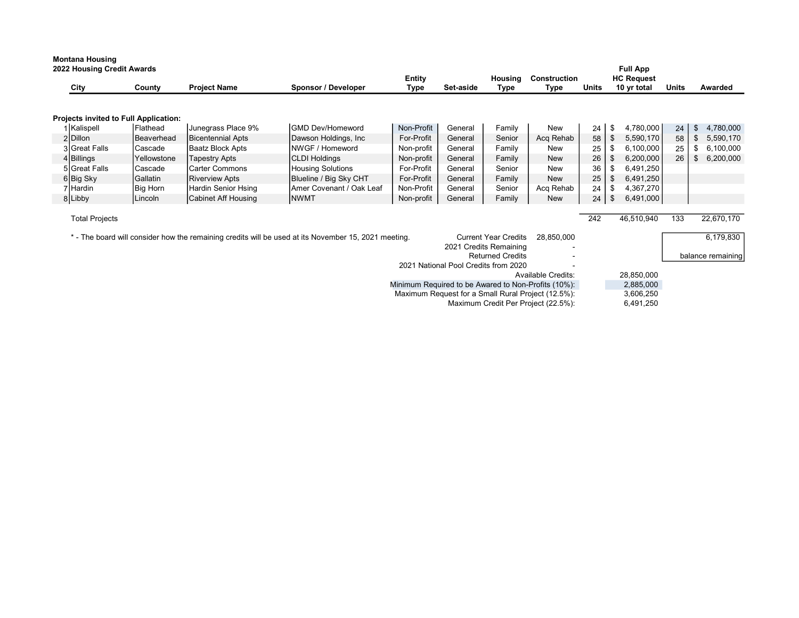|                                                                                                                                                                             | <b>Montana Housing</b><br>2022 Housing Credit Awards            |                                       |                          |                          |                |           |                 |                      |              | <b>Full App</b>                  |       |           |            |
|-----------------------------------------------------------------------------------------------------------------------------------------------------------------------------|-----------------------------------------------------------------|---------------------------------------|--------------------------|--------------------------|----------------|-----------|-----------------|----------------------|--------------|----------------------------------|-------|-----------|------------|
|                                                                                                                                                                             | City                                                            | County                                | <b>Project Name</b>      | Sponsor / Developer      | Entity<br>Type | Set-aside | Housing<br>Type | Construction<br>Type | <b>Units</b> | <b>HC Request</b><br>10 yr total | Units |           | Awarded    |
|                                                                                                                                                                             |                                                                 |                                       |                          |                          |                |           |                 |                      |              |                                  |       |           |            |
|                                                                                                                                                                             |                                                                 | Projects invited to Full Application: |                          |                          |                |           |                 |                      |              |                                  |       |           |            |
|                                                                                                                                                                             | 1 Kalispell                                                     | Flathead                              | Junegrass Place 9%       | <b>IGMD Dev/Homeword</b> | Non-Profit     | General   | Family          | New                  | 24           | 4,780,000<br>\$                  | 24    | \$        | 4,780,000  |
|                                                                                                                                                                             | 2Dillon                                                         | Beaverhead                            | <b>Bicentennial Apts</b> | Dawson Holdings, Inc     | For-Profit     | General   | Senior          | Acq Rehab            | 58           | \$<br>5,590,170                  | 58    | \$        | 5,590,170  |
|                                                                                                                                                                             | 3 Great Falls                                                   | Cascade                               | Baatz Block Apts         | NWGF / Homeword          | Non-profit     | General   | Family          | New                  | 25           | 6,100,000<br>\$                  | 25    | \$        | 6,100,000  |
|                                                                                                                                                                             | 4 Billings                                                      | Yellowstone                           | <b>Tapestry Apts</b>     | <b>CLDI Holdings</b>     | Non-profit     | General   | Family          | New                  | 26           | 6,200,000<br>\$                  | 26    | \$        | 6,200,000  |
|                                                                                                                                                                             | 5 Great Falls                                                   | Cascade                               | Carter Commons           | <b>Housing Solutions</b> | For-Profit     | General   | Senior          | <b>New</b>           | 36           | 6,491,250<br>\$                  |       |           |            |
|                                                                                                                                                                             | 6Big Sky                                                        | Gallatin                              | <b>Riverview Apts</b>    | Blueline / Big Sky CHT   | For-Profit     | General   | Family          | New                  | 25           | 6,491,250<br>\$                  |       |           |            |
|                                                                                                                                                                             | 7 Hardin                                                        | <b>Big Horn</b>                       | Hardin Senior Hsing      | Amer Covenant / Oak Leaf | Non-Profit     | General   | Senior          | Acq Rehab            | 24           | 4,367,270<br>\$                  |       |           |            |
|                                                                                                                                                                             | 8 Libby                                                         | Lincoln                               | Cabinet Aff Housing      | <b>NWMT</b>              | Non-profit     | General   | Family          | <b>New</b>           | 24           | 6,491,000<br>\$                  |       |           |            |
|                                                                                                                                                                             | <b>Total Projects</b>                                           |                                       |                          |                          |                |           |                 |                      | 242          | 46,510,940                       | 133   |           | 22,670,170 |
| * - The board will consider how the remaining credits will be used at its November 15, 2021 meeting.<br><b>Current Year Credits</b><br>28,850,000<br>2021 Credits Remaining |                                                                 |                                       |                          |                          |                |           |                 |                      |              |                                  |       | 6,179,830 |            |
|                                                                                                                                                                             | <b>Returned Credits</b><br>2021 National Pool Credits from 2020 |                                       |                          |                          |                |           |                 |                      |              | balance remaining                |       |           |            |
|                                                                                                                                                                             |                                                                 |                                       |                          |                          |                |           |                 |                      |              |                                  |       |           |            |
| <b>Available Credits:</b>                                                                                                                                                   |                                                                 |                                       |                          |                          |                |           |                 |                      | 28,850,000   |                                  |       |           |            |
| Minimum Required to be Awared to Non-Profits (10%):                                                                                                                         |                                                                 |                                       |                          |                          |                |           |                 |                      |              | 2,885,000                        |       |           |            |
| Maximum Request for a Small Rural Project (12.5%):                                                                                                                          |                                                                 |                                       |                          |                          |                |           |                 |                      |              | 3,606,250                        |       |           |            |

Maximum Credit Per Project (22.5%): 6,491,250